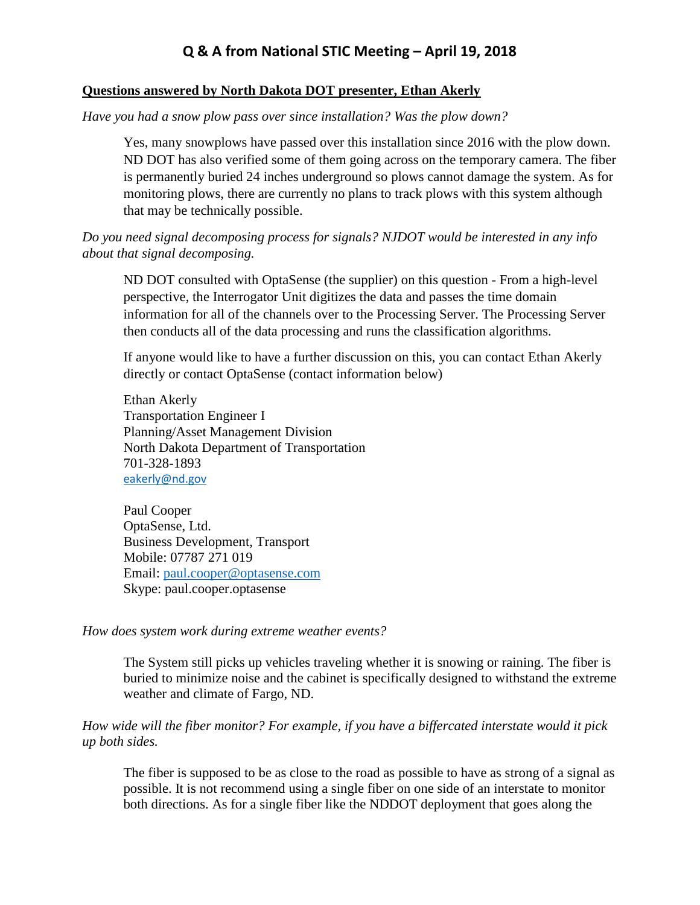# **Q & A from National STIC Meeting – April 19, 2018**

### **Questions answered by North Dakota DOT presenter, Ethan Akerly**

*Have you had a snow plow pass over since installation? Was the plow down?*

Yes, many snowplows have passed over this installation since 2016 with the plow down. ND DOT has also verified some of them going across on the temporary camera. The fiber is permanently buried 24 inches underground so plows cannot damage the system. As for monitoring plows, there are currently no plans to track plows with this system although that may be technically possible.

*Do you need signal decomposing process for signals? NJDOT would be interested in any info about that signal decomposing.*

ND DOT consulted with OptaSense (the supplier) on this question - From a high-level perspective, the Interrogator Unit digitizes the data and passes the time domain information for all of the channels over to the Processing Server. The Processing Server then conducts all of the data processing and runs the classification algorithms.

If anyone would like to have a further discussion on this, you can contact Ethan Akerly directly or contact OptaSense (contact information below)

Ethan Akerly Transportation Engineer I Planning/Asset Management Division North Dakota Department of Transportation 701-328-1893 [eakerly@nd.gov](mailto:eakerly@nd.gov)

Paul Cooper OptaSense, Ltd. Business Development, Transport Mobile: 07787 271 019 Email: [paul.cooper@optasense.com](mailto:paul.cooper@optasense.com) Skype: paul.cooper.optasense

### *How does system work during extreme weather events?*

The System still picks up vehicles traveling whether it is snowing or raining. The fiber is buried to minimize noise and the cabinet is specifically designed to withstand the extreme weather and climate of Fargo, ND.

*How wide will the fiber monitor? For example, if you have a biffercated interstate would it pick up both sides.*

The fiber is supposed to be as close to the road as possible to have as strong of a signal as possible. It is not recommend using a single fiber on one side of an interstate to monitor both directions. As for a single fiber like the NDDOT deployment that goes along the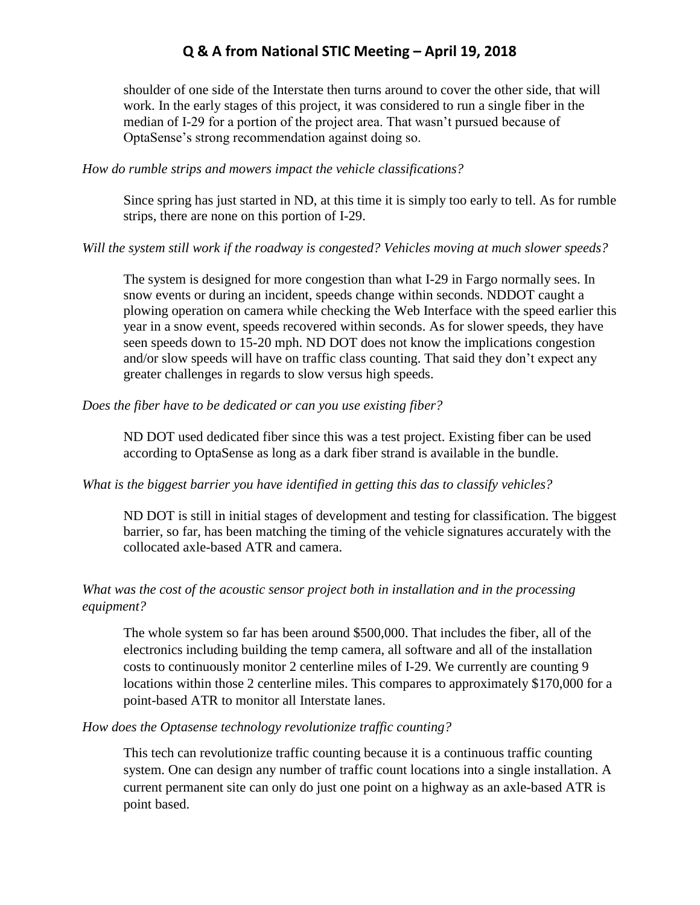# **Q & A from National STIC Meeting – April 19, 2018**

shoulder of one side of the Interstate then turns around to cover the other side, that will work. In the early stages of this project, it was considered to run a single fiber in the median of I-29 for a portion of the project area. That wasn't pursued because of OptaSense's strong recommendation against doing so.

### *How do rumble strips and mowers impact the vehicle classifications?*

Since spring has just started in ND, at this time it is simply too early to tell. As for rumble strips, there are none on this portion of I-29.

### *Will the system still work if the roadway is congested? Vehicles moving at much slower speeds?*

The system is designed for more congestion than what I-29 in Fargo normally sees. In snow events or during an incident, speeds change within seconds. NDDOT caught a plowing operation on camera while checking the Web Interface with the speed earlier this year in a snow event, speeds recovered within seconds. As for slower speeds, they have seen speeds down to 15-20 mph. ND DOT does not know the implications congestion and/or slow speeds will have on traffic class counting. That said they don't expect any greater challenges in regards to slow versus high speeds.

### *Does the fiber have to be dedicated or can you use existing fiber?*

ND DOT used dedicated fiber since this was a test project. Existing fiber can be used according to OptaSense as long as a dark fiber strand is available in the bundle.

## *What is the biggest barrier you have identified in getting this das to classify vehicles?*

ND DOT is still in initial stages of development and testing for classification. The biggest barrier, so far, has been matching the timing of the vehicle signatures accurately with the collocated axle-based ATR and camera.

## *What was the cost of the acoustic sensor project both in installation and in the processing equipment?*

The whole system so far has been around \$500,000. That includes the fiber, all of the electronics including building the temp camera, all software and all of the installation costs to continuously monitor 2 centerline miles of I-29. We currently are counting 9 locations within those 2 centerline miles. This compares to approximately \$170,000 for a point-based ATR to monitor all Interstate lanes.

### *How does the Optasense technology revolutionize traffic counting?*

This tech can revolutionize traffic counting because it is a continuous traffic counting system. One can design any number of traffic count locations into a single installation. A current permanent site can only do just one point on a highway as an axle-based ATR is point based.